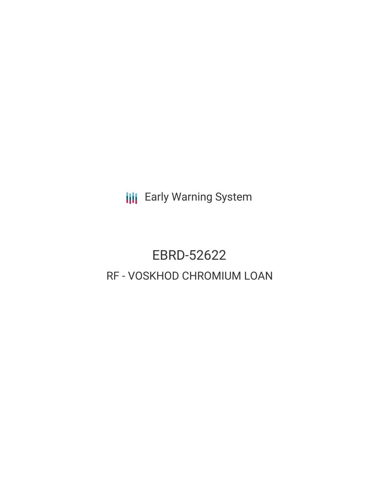**III** Early Warning System

# EBRD-52622 RF - VOSKHOD CHROMIUM LOAN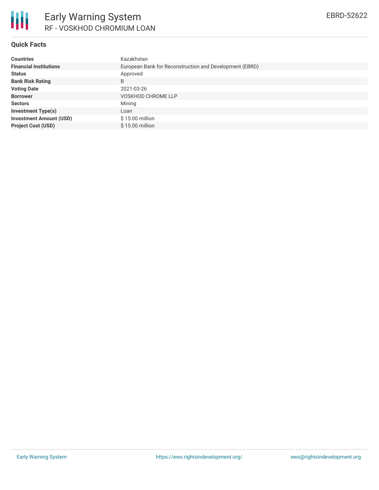

# **Quick Facts**

| <b>Countries</b>               | Kazakhstan                                              |  |  |  |
|--------------------------------|---------------------------------------------------------|--|--|--|
| <b>Financial Institutions</b>  | European Bank for Reconstruction and Development (EBRD) |  |  |  |
| <b>Status</b>                  | Approved                                                |  |  |  |
| <b>Bank Risk Rating</b>        | B                                                       |  |  |  |
| <b>Voting Date</b>             | 2021-03-26                                              |  |  |  |
| <b>Borrower</b>                | <b>VOSKHOD CHROME LLP</b>                               |  |  |  |
| <b>Sectors</b>                 | Mining                                                  |  |  |  |
| <b>Investment Type(s)</b>      | Loan                                                    |  |  |  |
| <b>Investment Amount (USD)</b> | $$15.00$ million                                        |  |  |  |
| <b>Project Cost (USD)</b>      | \$15.00 million                                         |  |  |  |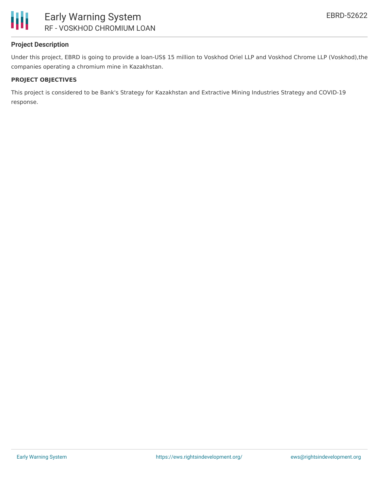

# **Project Description**

Under this project, EBRD is going to provide a loan-US\$ 15 million to Voskhod Oriel LLP and Voskhod Chrome LLP (Voskhod),the companies operating a chromium mine in Kazakhstan.

### **PROJECT OBJECTIVES**

This project is considered to be Bank's Strategy for Kazakhstan and Extractive Mining Industries Strategy and COVID-19 response.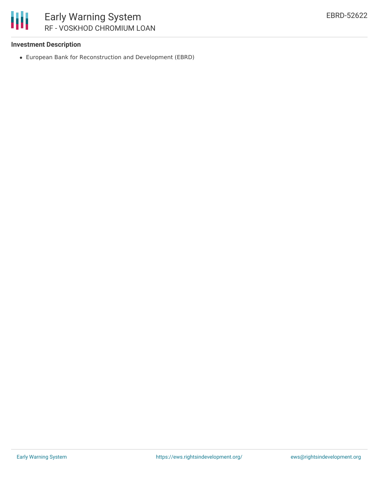

# **Investment Description**

European Bank for Reconstruction and Development (EBRD)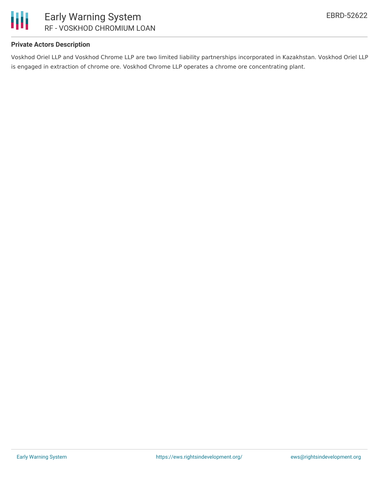

### **Private Actors Description**

Voskhod Oriel LLP and Voskhod Chrome LLP are two limited liability partnerships incorporated in Kazakhstan. Voskhod Oriel LLP is engaged in extraction of chrome ore. Voskhod Chrome LLP operates a chrome ore concentrating plant.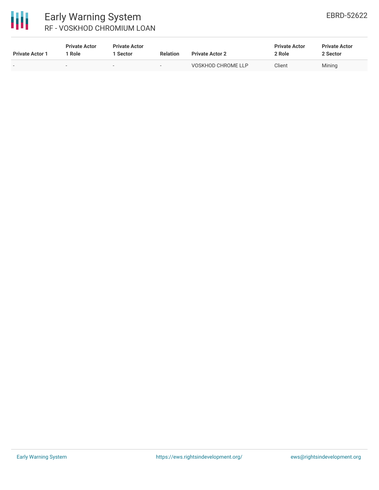

# Early Warning System RF - VOSKHOD CHROMIUM LOAN

| <b>Private Actor 1</b> | <b>Private Actor</b><br><b>Role</b> | <b>Private Actor</b><br>Sector | <b>Relation</b> | <b>Private Actor 2</b> | <b>Private Actor</b><br>2 Role | <b>Private Actor</b><br>2 Sector |
|------------------------|-------------------------------------|--------------------------------|-----------------|------------------------|--------------------------------|----------------------------------|
| . .                    |                                     | $\sim$                         | $\sim$          | VOSKHOD CHROME LLP     | Client                         | Mining                           |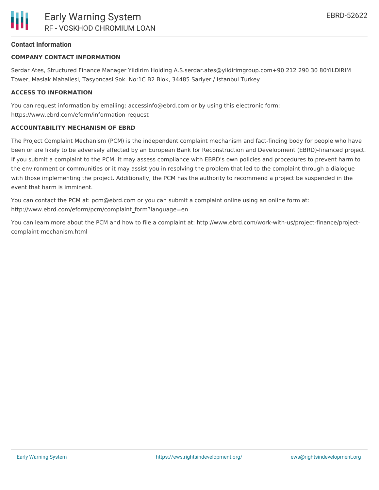### **Contact Information**

### **COMPANY CONTACT INFORMATION**

Serdar Ates, Structured Finance Manager Yildirim Holding A.S.serdar.ates@yildirimgroup.com+90 212 290 30 80YILDIRIM Tower, Maslak Mahallesi, Tasyoncasi Sok. No:1C B2 Blok, 34485 Sariyer / Istanbul Turkey

### **ACCESS TO INFORMATION**

You can request information by emailing: accessinfo@ebrd.com or by using this electronic form: https://www.ebrd.com/eform/information-request

### **ACCOUNTABILITY MECHANISM OF EBRD**

The Project Complaint Mechanism (PCM) is the independent complaint mechanism and fact-finding body for people who have been or are likely to be adversely affected by an European Bank for Reconstruction and Development (EBRD)-financed project. If you submit a complaint to the PCM, it may assess compliance with EBRD's own policies and procedures to prevent harm to the environment or communities or it may assist you in resolving the problem that led to the complaint through a dialogue with those implementing the project. Additionally, the PCM has the authority to recommend a project be suspended in the event that harm is imminent.

You can contact the PCM at: pcm@ebrd.com or you can submit a complaint online using an online form at: http://www.ebrd.com/eform/pcm/complaint\_form?language=en

You can learn more about the PCM and how to file a complaint at: http://www.ebrd.com/work-with-us/project-finance/projectcomplaint-mechanism.html